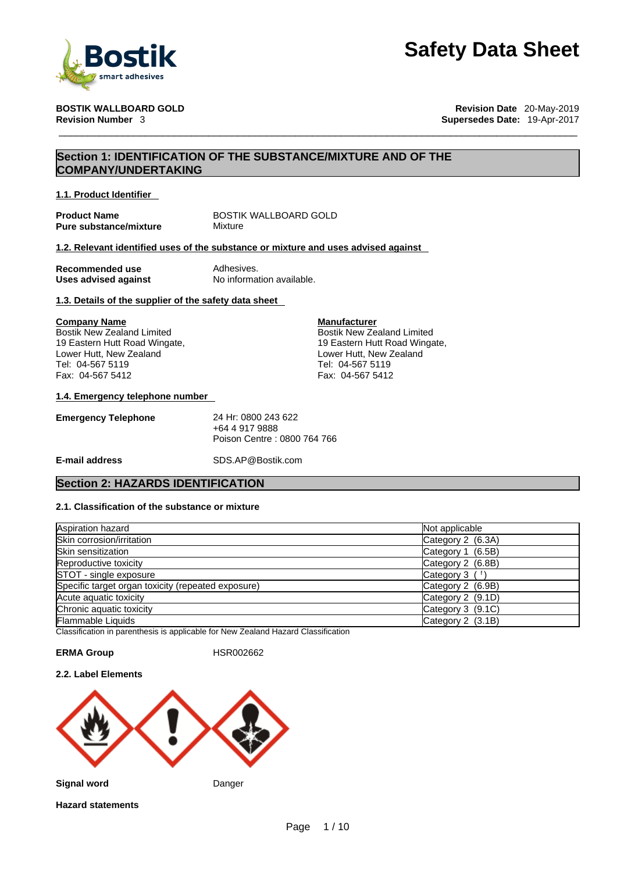

**BOSTIK WALLBOARD GOLD Revision Date** 20-May-2019 **Revision Number** 3 **Supersedes Date:** 19-Apr-2017

### **Section 1: IDENTIFICATION OF THE SUBSTANCE/MIXTURE AND OF THE COMPANY/UNDERTAKING**

**1.1. Product Identifier** 

**Pure substance/mixture Mixture** 

**Product Name** BOSTIK WALLBOARD GOLD

### **1.2. Relevant identified uses of the substance or mixture and uses advised against**

**Recommended use Adhesives**<br> **Uses advised against No information available. Uses advised against** 

### **1.3. Details of the supplier of the safety data sheet**

### **Company Name**

Bostik New Zealand Limited 19 Eastern Hutt Road Wingate, Lower Hutt, New Zealand Tel: 04-567 5119 Fax: 04-567 5412

### **1.4. Emergency telephone number**

| 24 Hr: 0800 243 622         |
|-----------------------------|
| +64 4 917 9888              |
| Poison Centre: 0800 764 766 |
|                             |

**E-mail address** SDS.AP@Bostik.com

### **Section 2: HAZARDS IDENTIFICATION**

### **2.1. Classification of the substance or mixture**

| Aspiration hazard                                  | Not applicable    |
|----------------------------------------------------|-------------------|
| Skin corrosion/irritation                          | Category 2 (6.3A) |
| Skin sensitization                                 | Category 1 (6.5B) |
| Reproductive toxicity                              | Category 2 (6.8B) |
| STOT - single exposure                             | Category $3(1)$   |
| Specific target organ toxicity (repeated exposure) | Category 2 (6.9B) |
| Acute aquatic toxicity                             | Category 2 (9.1D) |
| Chronic aquatic toxicity                           | Category 3 (9.1C) |
| Flammable Liquids                                  | Category 2 (3.1B) |

**Manufacturer**

Bostik New Zealand Limited 19 Eastern Hutt Road Wingate, Lower Hutt, New Zealand Tel: 04-567 5119 Fax: 04-567 5412

Classification in parenthesis is applicable for New Zealand Hazard Classification

### **ERMA Group** HSR002662

### **2.2. Label Elements**

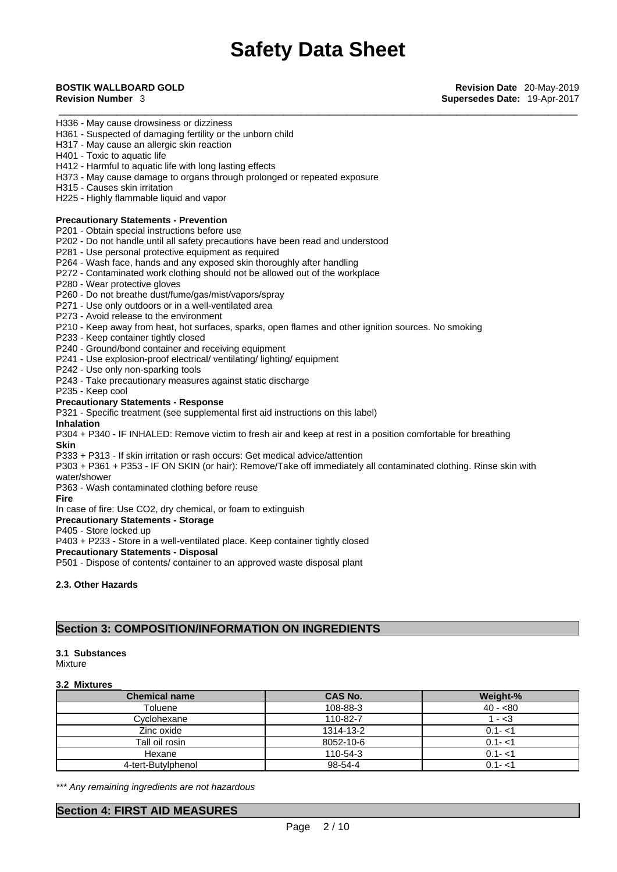- H336 May cause drowsiness or dizziness
- H361 Suspected of damaging fertility or the unborn child
- H317 May cause an allergic skin reaction
- H401 Toxic to aquatic life
- H412 Harmful to aquatic life with long lasting effects
- H373 May cause damage to organs through prolonged or repeated exposure
- H315 Causes skin irritation
- H225 Highly flammable liquid and vapor

### **Precautionary Statements - Prevention**

P201 - Obtain special instructions before use

- P202 Do not handle until all safety precautions have been read and understood
- P281 Use personal protective equipment as required
- P264 Wash face, hands and any exposed skin thoroughly after handling
- P272 Contaminated work clothing should not be allowed out of the workplace
- P280 Wear protective gloves
- P260 Do not breathe dust/fume/gas/mist/vapors/spray
- P271 Use only outdoors or in a well-ventilated area
- P273 Avoid release to the environment
- P210 Keep away from heat, hot surfaces, sparks, open flames and other ignition sources. No smoking
- P233 Keep container tightly closed
- P240 Ground/bond container and receiving equipment
- P241 Use explosion-proof electrical/ ventilating/ lighting/ equipment
- P242 Use only non-sparking tools
- P243 Take precautionary measures against static discharge
- P235 Keep cool

### **Precautionary Statements - Response**

P321 - Specific treatment (see supplemental first aid instructions on this label)

### **Inhalation**

P304 + P340 - IF INHALED: Remove victim to fresh air and keep atrest in a position comfortable for breathing

**Skin**

P333 + P313 - If skin irritation or rash occurs: Get medical advice/attention

P303 + P361 + P353 - IF ON SKIN (or hair): Remove/Take off immediately all contaminated clothing. Rinse skin with

water/shower

P363 - Wash contaminated clothing before reuse

**Fire**

In case of fire: Use CO2, dry chemical, or foam to extinguish

**Precautionary Statements - Storage**

P405 - Store locked up

P403 + P233 - Store in a well-ventilated place. Keep container tightly closed

**Precautionary Statements - Disposal**

P501 - Dispose of contents/ container to an approved waste disposal plant

### **2.3. Other Hazards**

### **Section 3: COMPOSITION/INFORMATION ON INGREDIENTS**

### **3.1 Substances**

Mixture

### **3.2 Mixtures**

| <b>Chemical name</b> | <b>CAS No.</b> | Weight-%  |
|----------------------|----------------|-----------|
| Toluene              | 108-88-3       | $40 - 80$ |
| Cyclohexane          | 110-82-7       | $1 - 3$   |
| Zinc oxide           | 1314-13-2      | $0.1 - 1$ |
| Tall oil rosin       | 8052-10-6      | $0.1 - 1$ |
| Hexane               | 110-54-3       | $0.1 - 1$ |
| 4-tert-Butylphenol   | 98-54-4        | $0.1 - 1$ |

*\*\*\* Any remaining ingredients are not hazardous* 

### **Section 4: FIRST AID MEASURES**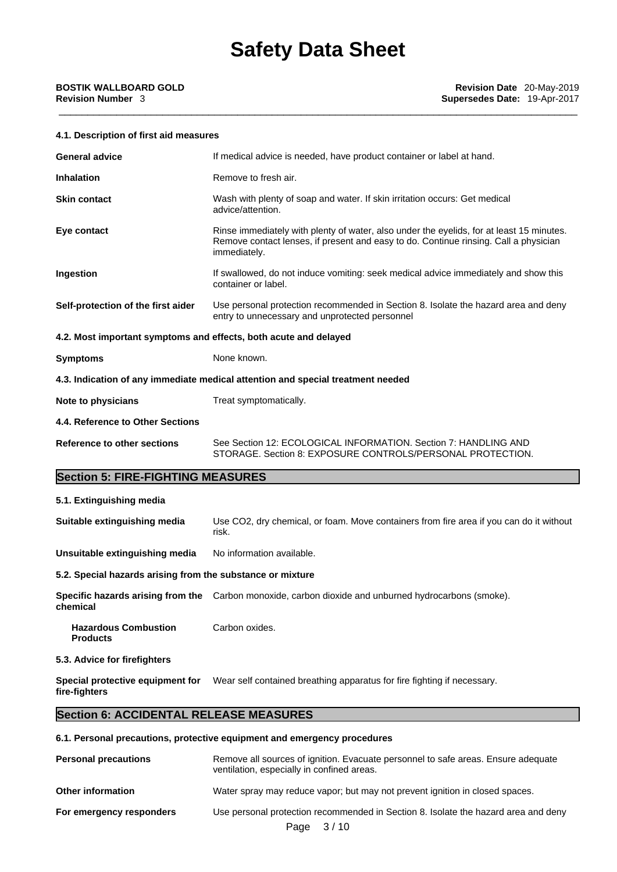### **4.1. Description of first aid measures**

| <b>General advice</b>                    | If medical advice is needed, have product container or label at hand.                                                                                                                            |  |  |
|------------------------------------------|--------------------------------------------------------------------------------------------------------------------------------------------------------------------------------------------------|--|--|
| <b>Inhalation</b>                        | Remove to fresh air.                                                                                                                                                                             |  |  |
| <b>Skin contact</b>                      | Wash with plenty of soap and water. If skin irritation occurs: Get medical<br>advice/attention.                                                                                                  |  |  |
| Eye contact                              | Rinse immediately with plenty of water, also under the eyelids, for at least 15 minutes.<br>Remove contact lenses, if present and easy to do. Continue rinsing. Call a physician<br>immediately. |  |  |
| Ingestion                                | If swallowed, do not induce vomiting: seek medical advice immediately and show this<br>container or label.                                                                                       |  |  |
| Self-protection of the first aider       | Use personal protection recommended in Section 8. Isolate the hazard area and deny<br>entry to unnecessary and unprotected personnel                                                             |  |  |
|                                          | 4.2. Most important symptoms and effects, both acute and delayed                                                                                                                                 |  |  |
| <b>Symptoms</b>                          | None known.                                                                                                                                                                                      |  |  |
|                                          | 4.3. Indication of any immediate medical attention and special treatment needed                                                                                                                  |  |  |
| Note to physicians                       | Treat symptomatically.                                                                                                                                                                           |  |  |
| 4.4. Reference to Other Sections         |                                                                                                                                                                                                  |  |  |
| <b>Reference to other sections</b>       | See Section 12: ECOLOGICAL INFORMATION, Section 7: HANDLING AND<br>STORAGE, Section 8: EXPOSURE CONTROLS/PERSONAL PROTECTION.                                                                    |  |  |
| <b>Section 5: FIRE-FIGHTING MEASURES</b> |                                                                                                                                                                                                  |  |  |

### **5.1. Extinguishing media**

| Suitable extinguishing media                               | Use CO2, dry chemical, or foam. Move containers from fire area if you can do it without<br>risk.                 |
|------------------------------------------------------------|------------------------------------------------------------------------------------------------------------------|
| Unsuitable extinguishing media                             | No information available.                                                                                        |
| 5.2. Special hazards arising from the substance or mixture |                                                                                                                  |
| chemical                                                   | Specific hazards arising from the Carbon monoxide, carbon dioxide and unburned hydrocarbons (smoke).             |
| <b>Hazardous Combustion</b><br><b>Products</b>             | Carbon oxides.                                                                                                   |
| 5.3. Advice for firefighters                               |                                                                                                                  |
|                                                            | <b>Concident protective equipment for Most colf contained bractbing apparatue for fire fighting if pecoecany</b> |

**Special protective equipment for** Wear self contained breathing apparatus for fire fighting if necessary.

**fire-fighters**

### **Section 6: ACCIDENTAL RELEASE MEASURES**

### **6.1. Personal precautions, protective equipment and emergency procedures**

| <b>Personal precautions</b> | Remove all sources of ignition. Evacuate personnel to safe areas. Ensure adequate<br>ventilation, especially in confined areas. |
|-----------------------------|---------------------------------------------------------------------------------------------------------------------------------|
| <b>Other information</b>    | Water spray may reduce vapor; but may not prevent ignition in closed spaces.                                                    |
| For emergency responders    | Use personal protection recommended in Section 8. Isolate the hazard area and deny<br>3/10<br>Page                              |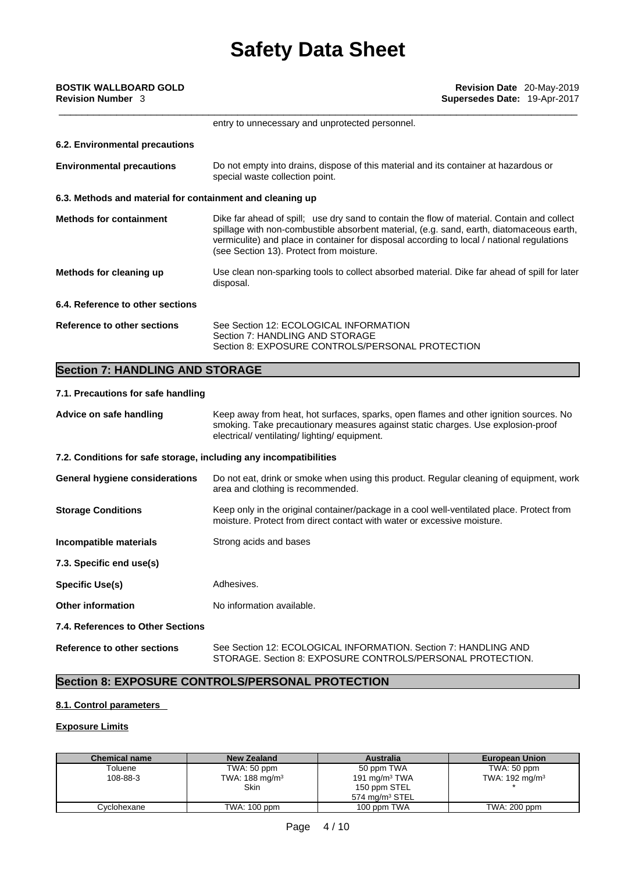|                          | BOSTIK WALLBOARD GOLD |
|--------------------------|-----------------------|
| <b>Revision Number</b> 3 |                       |

|                                                           | entry to unnecessary and unprotected personnel.                                                                                                                                                                                                                                                                                  |
|-----------------------------------------------------------|----------------------------------------------------------------------------------------------------------------------------------------------------------------------------------------------------------------------------------------------------------------------------------------------------------------------------------|
| 6.2. Environmental precautions                            |                                                                                                                                                                                                                                                                                                                                  |
| <b>Environmental precautions</b>                          | Do not empty into drains, dispose of this material and its container at hazardous or<br>special waste collection point.                                                                                                                                                                                                          |
| 6.3. Methods and material for containment and cleaning up |                                                                                                                                                                                                                                                                                                                                  |
| <b>Methods for containment</b>                            | Dike far ahead of spill; use dry sand to contain the flow of material. Contain and collect<br>spillage with non-combustible absorbent material, (e.g. sand, earth, diatomaceous earth,<br>vermiculite) and place in container for disposal according to local / national regulations<br>(see Section 13). Protect from moisture. |
| Methods for cleaning up                                   | Use clean non-sparking tools to collect absorbed material. Dike far ahead of spill for later<br>disposal.                                                                                                                                                                                                                        |
| 6.4. Reference to other sections                          |                                                                                                                                                                                                                                                                                                                                  |
| Reference to other sections                               | See Section 12: ECOLOGICAL INFORMATION<br>Section 7: HANDLING AND STORAGE<br>Section 8: EXPOSURE CONTROLS/PERSONAL PROTECTION                                                                                                                                                                                                    |

### **Section 7: HANDLING AND STORAGE**

### **7.1. Precautions for safe handling**

| Advice on safe handling                                           | Keep away from heat, hot surfaces, sparks, open flames and other ignition sources. No<br>smoking. Take precautionary measures against static charges. Use explosion-proof<br>electrical/ventilating/lighting/equipment. |  |
|-------------------------------------------------------------------|-------------------------------------------------------------------------------------------------------------------------------------------------------------------------------------------------------------------------|--|
| 7.2. Conditions for safe storage, including any incompatibilities |                                                                                                                                                                                                                         |  |
| General hygiene considerations                                    | Do not eat, drink or smoke when using this product. Regular cleaning of equipment, work<br>area and clothing is recommended.                                                                                            |  |
| <b>Storage Conditions</b>                                         | Keep only in the original container/package in a cool well-ventilated place. Protect from<br>moisture. Protect from direct contact with water or excessive moisture.                                                    |  |
| Incompatible materials                                            | Strong acids and bases                                                                                                                                                                                                  |  |
| 7.3. Specific end use(s)                                          |                                                                                                                                                                                                                         |  |
| <b>Specific Use(s)</b>                                            | Adhesives.                                                                                                                                                                                                              |  |
| <b>Other information</b>                                          | No information available.                                                                                                                                                                                               |  |
| 7.4. References to Other Sections                                 |                                                                                                                                                                                                                         |  |
| Reference to other sections                                       | See Section 12: ECOLOGICAL INFORMATION. Section 7: HANDLING AND<br>STORAGE, Section 8: EXPOSURE CONTROLS/PERSONAL PROTECTION.                                                                                           |  |

### **Section 8: EXPOSURE CONTROLS/PERSONAL PROTECTION**

### **8.1. Control parameters**

### **Exposure Limits**

| <b>Chemical name</b> | <b>New Zealand</b>        | <b>Australia</b>           | <b>European Union</b>     |
|----------------------|---------------------------|----------------------------|---------------------------|
| Toluene              | TWA: 50 ppm               | 50 ppm TWA                 | TWA: 50 ppm               |
| 108-88-3             | TWA: $188 \text{ mg/m}^3$ | 191 mg/m $3$ TWA           | TWA: $192 \text{ mg/m}^3$ |
|                      | <b>Skin</b>               | 150 ppm STEL               |                           |
|                      |                           | 574 mg/m <sup>3</sup> STEL |                           |
| Cvclohexane          | TWA: 100 ppm              | 100 ppm TWA                | TWA: 200 ppm              |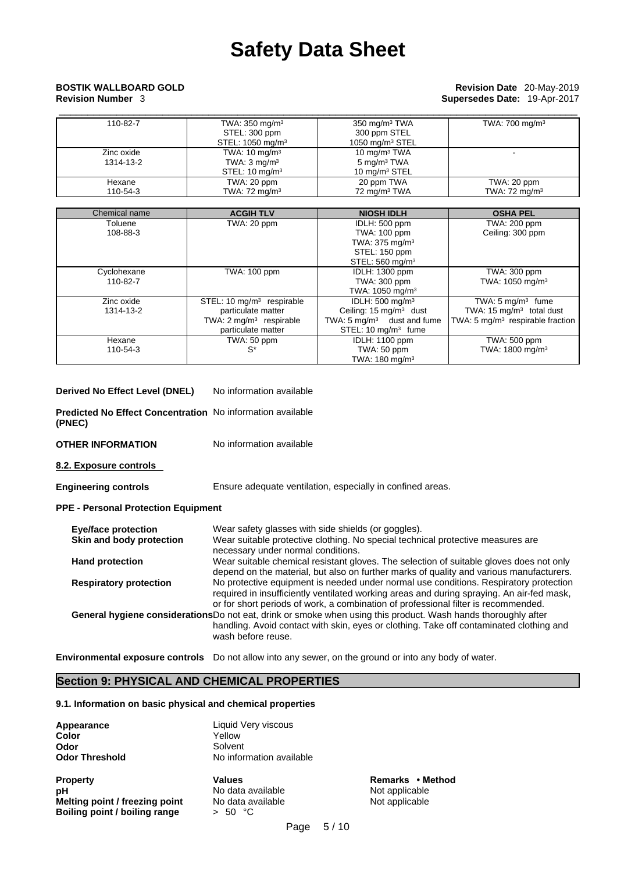# \_\_\_\_\_\_\_\_\_\_\_\_\_\_\_\_\_\_\_\_\_\_\_\_\_\_\_\_\_\_\_\_\_\_\_\_\_\_\_\_\_\_\_\_\_\_\_\_\_\_\_\_\_\_\_\_\_\_\_\_\_\_\_\_\_\_\_\_\_\_\_\_\_\_\_\_\_\_\_\_\_\_\_\_\_\_\_\_\_\_ **BOSTIK WALLBOARD GOLD Revision Date** 20-May-2019

## **Revision Number** 3 **Supersedes Date:** 19-Apr-2017

| 110-82-7                | TWA: $350 \text{ mg/m}^3$<br>STEL: 300 ppm<br>STEL: 1050 mg/m <sup>3</sup>       | $350 \text{ mg/m}^3$ TWA<br>300 ppm STEL<br>1050 $mq/m3$ STEL  | TWA: 700 mg/m <sup>3</sup>              |
|-------------------------|----------------------------------------------------------------------------------|----------------------------------------------------------------|-----------------------------------------|
| Zinc oxide<br>1314-13-2 | TWA: $10 \text{ mg/m}^3$<br>TWA: $3 \text{ mg/m}^3$<br>STEL: $10 \text{ mg/m}^3$ | 10 mg/m $3$ TWA<br>5 mg/m <sup>3</sup> TWA<br>10 mg/m $3$ STEL |                                         |
| Hexane<br>110-54-3      | TWA: 20 ppm<br>TWA: $72 \text{ mg/m}^3$                                          | 20 ppm TWA<br>72 mg/m <sup>3</sup> TWA                         | TWA: 20 ppm<br>TWA: $72 \text{ mg/m}^3$ |

| Chemical name | <b>ACGIH TLV</b>                   | <b>NIOSH IDLH</b>                     | <b>OSHA PEL</b>                     |
|---------------|------------------------------------|---------------------------------------|-------------------------------------|
| Toluene       | TWA: 20 ppm                        | IDLH: 500 ppm                         | TWA: 200 ppm                        |
| 108-88-3      |                                    | TWA: 100 ppm                          | Ceiling: 300 ppm                    |
|               |                                    | TWA: $375 \text{ mg/m}^3$             |                                     |
|               |                                    | STEL: 150 ppm                         |                                     |
|               |                                    | STEL: 560 mg/m <sup>3</sup>           |                                     |
| Cyclohexane   | <b>TWA: 100 ppm</b>                | <b>IDLH: 1300 ppm</b>                 | TWA: 300 ppm                        |
| 110-82-7      |                                    | TWA: 300 ppm                          | TWA: 1050 mg/m <sup>3</sup>         |
|               |                                    | TWA: $1050$ mg/m <sup>3</sup>         |                                     |
| Zinc oxide    | STEL: 10 $mq/m3$ respirable        | IDLH: $500 \text{ mg/m}^3$            | TWA: $5 \text{ mg/m}^3$ fume        |
| 1314-13-2     | particulate matter                 | Ceiling: $15 \text{ mg/m}^3$ dust     | TWA: $15 \text{ mg/m}^3$ total dust |
|               | TWA: $2 \text{ mg/m}^3$ respirable | TWA: $5 \text{ mg/m}^3$ dust and fume | TWA: 5 $mg/m3$ respirable fraction  |
|               | particulate matter                 | STEL: 10 mg/m <sup>3</sup> fume       |                                     |
| Hexane        | TWA: 50 ppm                        | <b>IDLH: 1100 ppm</b>                 | TWA: 500 ppm                        |
| 110-54-3      | $S^*$                              | TWA: 50 ppm                           | TWA: 1800 mg/m <sup>3</sup>         |
|               |                                    | TWA: $180 \text{ mg/m}^3$             |                                     |

| Derived No Effect Level (DNEL) |  | No information available |
|--------------------------------|--|--------------------------|
|--------------------------------|--|--------------------------|

**Predicted No Effect Concentration** No information available **(PNEC)** 

**OTHER INFORMATION** No information available

**8.2. Exposure controls** 

**Engineering controls** Ensure adequate ventilation, especially in confined areas.

**PPE - Personal Protection Equipment**

| <b>Eye/face protection</b>    | Wear safety glasses with side shields (or goggles).                                                                                                                                                                                                                      |
|-------------------------------|--------------------------------------------------------------------------------------------------------------------------------------------------------------------------------------------------------------------------------------------------------------------------|
| Skin and body protection      | Wear suitable protective clothing. No special technical protective measures are                                                                                                                                                                                          |
|                               | necessary under normal conditions.                                                                                                                                                                                                                                       |
| <b>Hand protection</b>        | Wear suitable chemical resistant gloves. The selection of suitable gloves does not only<br>depend on the material, but also on further marks of quality and various manufacturers.                                                                                       |
| <b>Respiratory protection</b> | No protective equipment is needed under normal use conditions. Respiratory protection<br>required in insufficiently ventilated working areas and during spraying. An air-fed mask,<br>or for short periods of work, a combination of professional filter is recommended. |
|                               | General hygiene considerations Do not eat, drink or smoke when using this product. Wash hands thoroughly after<br>handling. Avoid contact with skin, eyes or clothing. Take off contaminated clothing and<br>wash before reuse.                                          |
|                               |                                                                                                                                                                                                                                                                          |

**Environmental exposure controls** Do not allow into any sewer, on the ground or into any body of water.

### **Section 9: PHYSICAL AND CHEMICAL PROPERTIES**

### **9.1. Information on basic physical and chemical properties**

| Appearance                     | Liquid Very viscous      |
|--------------------------------|--------------------------|
| Color                          | Yellow                   |
| Odor                           | Solvent                  |
| <b>Odor Threshold</b>          | No information available |
| <b>Property</b>                | <b>Values</b>            |
| рH                             | No data available        |
| Malting naint / freezing naint | No doto ovojloblo        |

**Melting point / freezing point** No data available<br>**Boiling point / boiling range**  $\rightarrow$  50 °C **Boiling point / boiling range** 

**Property Values Remarks • Method Not applicable<br>Not applicable**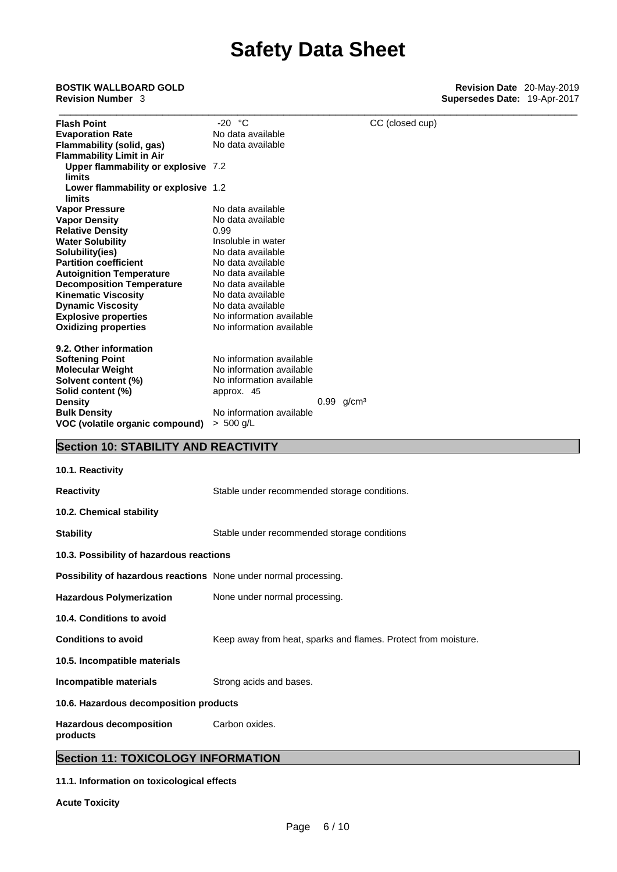| <b>BOSTIK WALLBOARD GOLD</b><br><b>Revision Number 3</b>         |                                                                |                 | Revision Date 20-May-2019<br>Supersedes Date: 19-Apr-2017 |
|------------------------------------------------------------------|----------------------------------------------------------------|-----------------|-----------------------------------------------------------|
| <b>Flash Point</b>                                               | $-20 °C$                                                       | CC (closed cup) |                                                           |
| <b>Evaporation Rate</b>                                          | No data available                                              |                 |                                                           |
| <b>Flammability (solid, gas)</b>                                 | No data available                                              |                 |                                                           |
| <b>Flammability Limit in Air</b>                                 |                                                                |                 |                                                           |
| Upper flammability or explosive 7.2                              |                                                                |                 |                                                           |
| limits                                                           |                                                                |                 |                                                           |
| Lower flammability or explosive 1.2                              |                                                                |                 |                                                           |
| <b>limits</b>                                                    |                                                                |                 |                                                           |
| <b>Vapor Pressure</b>                                            | No data available                                              |                 |                                                           |
| <b>Vapor Density</b>                                             | No data available                                              |                 |                                                           |
| <b>Relative Density</b>                                          | 0.99                                                           |                 |                                                           |
| <b>Water Solubility</b>                                          | Insoluble in water                                             |                 |                                                           |
| Solubility(ies)                                                  | No data available                                              |                 |                                                           |
| <b>Partition coefficient</b>                                     | No data available                                              |                 |                                                           |
| <b>Autoignition Temperature</b>                                  | No data available                                              |                 |                                                           |
| <b>Decomposition Temperature</b>                                 | No data available                                              |                 |                                                           |
|                                                                  | No data available                                              |                 |                                                           |
| <b>Kinematic Viscosity</b>                                       | No data available                                              |                 |                                                           |
| <b>Dynamic Viscosity</b>                                         |                                                                |                 |                                                           |
| <b>Explosive properties</b>                                      | No information available                                       |                 |                                                           |
| <b>Oxidizing properties</b>                                      | No information available                                       |                 |                                                           |
| 9.2. Other information                                           |                                                                |                 |                                                           |
| <b>Softening Point</b>                                           | No information available                                       |                 |                                                           |
| <b>Molecular Weight</b>                                          | No information available                                       |                 |                                                           |
| Solvent content (%)                                              | No information available                                       |                 |                                                           |
| Solid content (%)                                                | approx. 45                                                     |                 |                                                           |
| <b>Density</b>                                                   | $0.99$ g/cm <sup>3</sup>                                       |                 |                                                           |
| <b>Bulk Density</b>                                              | No information available                                       |                 |                                                           |
| VOC (volatile organic compound)                                  | $> 500$ g/L                                                    |                 |                                                           |
|                                                                  |                                                                |                 |                                                           |
| <b>Section 10: STABILITY AND REACTIVITY</b>                      |                                                                |                 |                                                           |
| 10.1. Reactivity                                                 |                                                                |                 |                                                           |
| <b>Reactivity</b>                                                | Stable under recommended storage conditions.                   |                 |                                                           |
|                                                                  |                                                                |                 |                                                           |
| 10.2. Chemical stability                                         |                                                                |                 |                                                           |
| <b>Stability</b>                                                 | Stable under recommended storage conditions                    |                 |                                                           |
| 10.3. Possibility of hazardous reactions                         |                                                                |                 |                                                           |
| Possibility of hazardous reactions None under normal processing. |                                                                |                 |                                                           |
| <b>Hazardous Polymerization</b>                                  | None under normal processing.                                  |                 |                                                           |
| 10.4. Conditions to avoid                                        |                                                                |                 |                                                           |
| <b>Conditions to avoid</b>                                       | Keep away from heat, sparks and flames. Protect from moisture. |                 |                                                           |
|                                                                  |                                                                |                 |                                                           |

**10.5. Incompatible materials**

**Incompatible materials** Strong acids and bases.

**10.6. Hazardous decomposition products** 

**Hazardous decomposition** Carbon oxides.

**products** 

### **Section 11: TOXICOLOGY INFORMATION**

### **11.1. Information on toxicological effects**

**Acute Toxicity**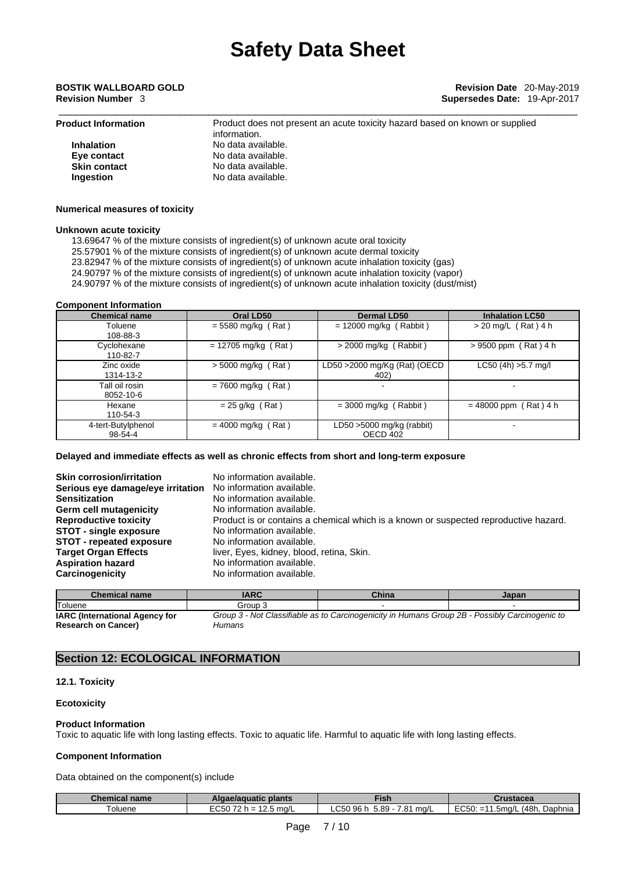| <b>Product Information</b> | Product does not present an acute toxicity hazard based on known or supplied<br>information. |
|----------------------------|----------------------------------------------------------------------------------------------|
| <b>Inhalation</b>          | No data available.                                                                           |
| Eye contact                | No data available.                                                                           |
| <b>Skin contact</b>        | No data available.                                                                           |
| <b>Ingestion</b>           | No data available.                                                                           |

### **Numerical measures of toxicity**

### **Unknown acute toxicity**

13.69647 % of the mixture consists of ingredient(s) of unknown acute oral toxicity

25.57901 % of the mixture consists of ingredient(s) of unknown acute dermal toxicity

23.82947 % of the mixture consists of ingredient(s) of unknown acute inhalation toxicity (gas)

24.90797 % of the mixture consists of ingredient(s) of unknown acute inhalation toxicity (vapor)

24.90797 % of the mixture consists of ingredient(s) of unknown acute inhalation toxicity (dust/mist)

### **Component Information**

| <b>Chemical name</b>          | Oral LD50             | <b>Dermal LD50</b>                       | <b>Inhalation LC50</b>  |
|-------------------------------|-----------------------|------------------------------------------|-------------------------|
| Toluene<br>108-88-3           | $= 5580$ mg/kg (Rat)  | $= 12000$ mg/kg (Rabbit)                 | $>$ 20 mg/L (Rat) 4 h   |
| Cyclohexane<br>110-82-7       | $= 12705$ mg/kg (Rat) | > 2000 mg/kg (<br>(Rabbit)               | $> 9500$ ppm (Rat) 4 h  |
| Zinc oxide<br>1314-13-2       | $> 5000$ mg/kg (Rat)  | LD50 >2000 mg/Kg (Rat) (OECD<br>402)     | $LC50$ (4h) $>5.7$ mg/l |
| Tall oil rosin<br>8052-10-6   | $= 7600$ mg/kg (Rat)  |                                          |                         |
| Hexane<br>110-54-3            | $= 25$ g/kg (Rat)     | $=$ 3000 mg/kg (Rabbit)                  | $= 48000$ ppm (Rat) 4 h |
| 4-tert-Butylphenol<br>98-54-4 | $= 4000$ mg/kg (Rat)  | LD50 $>$ 5000 mg/kg (rabbit)<br>OECD 402 |                         |

### **Delayed and immediate effects as well as chronic effects from short and long-term exposure**

| <b>Skin corrosion/irritation</b>  | No information available.                                                            |
|-----------------------------------|--------------------------------------------------------------------------------------|
| Serious eye damage/eye irritation | No information available.                                                            |
| <b>Sensitization</b>              | No information available.                                                            |
| Germ cell mutagenicity            | No information available.                                                            |
| <b>Reproductive toxicity</b>      | Product is or contains a chemical which is a known or suspected reproductive hazard. |
| <b>STOT - single exposure</b>     | No information available.                                                            |
| STOT - repeated exposure          | No information available.                                                            |
| <b>Target Organ Effects</b>       | liver, Eyes, kidney, blood, retina, Skin.                                            |
| <b>Aspiration hazard</b>          | No information available.                                                            |
| Carcinogenicity                   | No information available.                                                            |

| <b>Chemical name</b>                  | <b>IARC</b>                                                                                    | China | Japan |
|---------------------------------------|------------------------------------------------------------------------------------------------|-------|-------|
| Toluene                               | Group 3                                                                                        |       |       |
| <b>IARC</b> (International Agency for | Group 3 - Not Classifiable as to Carcinogenicity in Humans Group 2B - Possibly Carcinogenic to |       |       |
| <b>Research on Cancer)</b>            | Humans                                                                                         |       |       |

### **Section 12: ECOLOGICAL INFORMATION**

### **12.1. Toxicity**

### **Ecotoxicity**

### **Product Information**

Toxic to aquatic life with long lasting effects. Toxic to aquatic life. Harmful to aquatic life with long lasting effects.

### **Component Information**

Data obtained on the component(s) include

| <b>Chemical name</b> | Algae/aguatic plants                       | <b>Fish</b>                        | Crustacea                                                                                        |
|----------------------|--------------------------------------------|------------------------------------|--------------------------------------------------------------------------------------------------|
| 'oluene              | - - - - - -<br>12.5 ma/L<br>$\sim$<br>-vuu | C50 96<br>7.81<br>$5.89 -$<br>ma/L | <b>FOLD</b><br>(48h.<br>Daphnia<br>1.5ma/L<br>$\sim$<br>$\overline{\phantom{0}}$<br>---<br>LUJU. |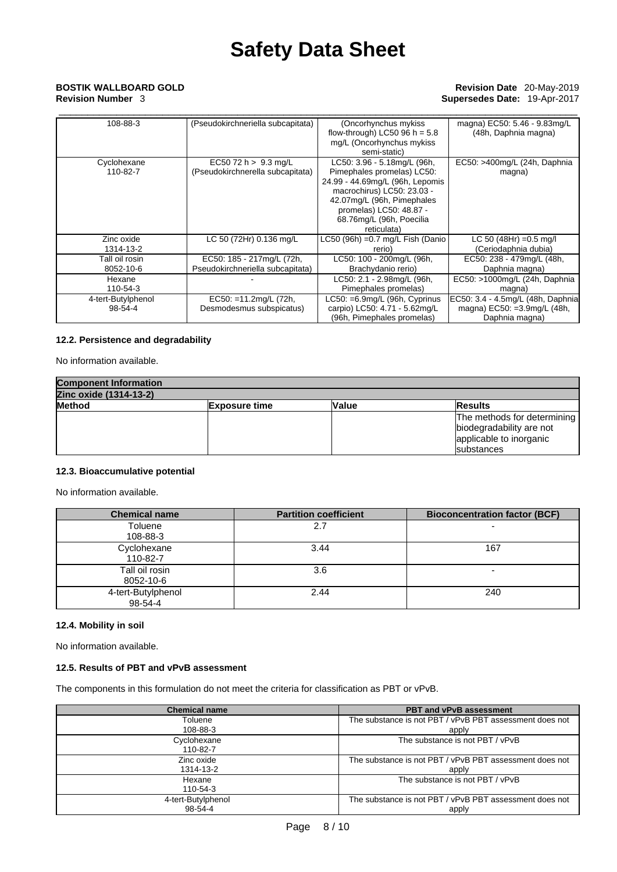### \_\_\_\_\_\_\_\_\_\_\_\_\_\_\_\_\_\_\_\_\_\_\_\_\_\_\_\_\_\_\_\_\_\_\_\_\_\_\_\_\_\_\_\_\_\_\_\_\_\_\_\_\_\_\_\_\_\_\_\_\_\_\_\_\_\_\_\_\_\_\_\_\_\_\_\_\_\_\_\_\_\_\_\_\_\_\_\_\_\_ **BOSTIK WALLBOARD GOLD Revision Date** 20-May-2019 **Revision Number** 3 **Supersedes Date:** 19-Apr-2017

| 108-88-3                      | (Pseudokirchneriella subcapitata)                             | (Oncorhynchus mykiss)<br>flow-through) LC50 96 h = $5.8$<br>mg/L (Oncorhynchus mykiss<br>semi-static)                                                                                                                          | magna) EC50: 5.46 - 9.83mg/L<br>(48h, Daphnia magna)                                |
|-------------------------------|---------------------------------------------------------------|--------------------------------------------------------------------------------------------------------------------------------------------------------------------------------------------------------------------------------|-------------------------------------------------------------------------------------|
| Cyclohexane<br>110-82-7       | EC50 72 h $> 9.3$ mg/L<br>(Pseudokirchnerella subcapitata)    | LC50: 3.96 - 5.18mg/L (96h,<br>Pimephales promelas) LC50:<br>24.99 - 44.69mg/L (96h, Lepomis<br>macrochirus) LC50: 23.03 -<br>42.07mg/L (96h, Pimephales<br>promelas) LC50: 48.87 -<br>68.76mg/L (96h, Poecilia<br>reticulata) | EC50: >400mg/L (24h, Daphnia<br>magna)                                              |
| Zinc oxide<br>1314-13-2       | LC 50 (72Hr) 0.136 mg/L                                       | LC50 (96h) = $0.7$ mg/L Fish (Danio<br>rerio)                                                                                                                                                                                  | LC 50 (48Hr) = $0.5$ mg/l<br>(Ceriodaphnia dubia)                                   |
| Tall oil rosin<br>8052-10-6   | EC50: 185 - 217mg/L (72h,<br>Pseudokirchneriella subcapitata) | LC50: 100 - 200mg/L (96h,<br>Brachydanio rerio)                                                                                                                                                                                | EC50: 238 - 479mg/L (48h,<br>Daphnia magna)                                         |
| Hexane<br>110-54-3            |                                                               | LC50: 2.1 - 2.98mg/L (96h,<br>Pimephales promelas)                                                                                                                                                                             | EC50: >1000mg/L (24h, Daphnia)<br>magna)                                            |
| 4-tert-Butylphenol<br>98-54-4 | $EC50: = 11.2$ mg/L (72h,<br>Desmodesmus subspicatus)         | LC50: =6.9mg/L (96h, Cyprinus<br>carpio) LC50: 4.71 - 5.62mg/L<br>(96h, Pimephales promelas)                                                                                                                                   | EC50: 3.4 - 4.5mg/L (48h, Daphnia)<br>magna) EC50: =3.9mg/L (48h,<br>Daphnia magna) |

### **12.2. Persistence and degradability**

No information available.

| <b>Component Information</b> |                      |       |                             |  |
|------------------------------|----------------------|-------|-----------------------------|--|
| Zinc oxide (1314-13-2)       |                      |       |                             |  |
| <b>Method</b>                | <b>Exposure time</b> | Value | <b>Results</b>              |  |
|                              |                      |       | The methods for determining |  |
|                              |                      |       | biodegradability are not    |  |
|                              |                      |       | applicable to inorganic     |  |
|                              |                      |       | <b>Isubstances</b>          |  |

### **12.3. Bioaccumulative potential**

No information available.

| <b>Chemical name</b>          | <b>Partition coefficient</b> | <b>Bioconcentration factor (BCF)</b> |
|-------------------------------|------------------------------|--------------------------------------|
| Toluene<br>108-88-3           | 2.7                          |                                      |
| Cyclohexane<br>110-82-7       | 3.44                         | 167                                  |
| Tall oil rosin<br>8052-10-6   | 3.6                          |                                      |
| 4-tert-Butylphenol<br>98-54-4 | 2.44                         | 240                                  |

### **12.4. Mobility in soil**

No information available.

### **12.5. Results of PBT and vPvB assessment**

The components in this formulation do not meet the criteria for classification as PBT or vPvB.

| <b>Chemical name</b>    | <b>PBT and vPvB assessment</b>                          |
|-------------------------|---------------------------------------------------------|
| Toluene                 | The substance is not PBT / vPvB PBT assessment does not |
| 108-88-3                | apply                                                   |
| Cyclohexane<br>110-82-7 | The substance is not PBT / vPvB                         |
| Zinc oxide              | The substance is not PBT / vPvB PBT assessment does not |
| 1314-13-2               | apply                                                   |
| Hexane<br>110-54-3      | The substance is not PBT / vPvB                         |
| 4-tert-Butylphenol      | The substance is not PBT / vPvB PBT assessment does not |
| 98-54-4                 | apply                                                   |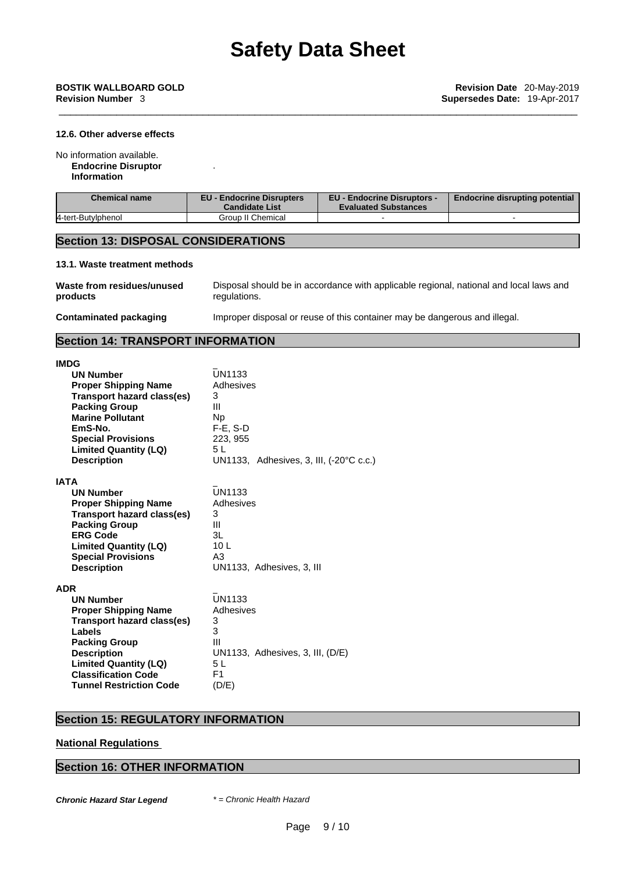### **12.6. Other adverse effects**

No information available.

**Endocrine Disruptor**

**Information**

| Chemical name      | <b>EU - Endocrine Disrupters</b><br><b>Candidate List</b> | <b>EU - Endocrine Disruptors -</b><br><b>Evaluated Substances</b> | <b>Endocrine disrupting potential</b> |
|--------------------|-----------------------------------------------------------|-------------------------------------------------------------------|---------------------------------------|
| 4-tert-Butylphenol | Group II Chemical                                         |                                                                   |                                       |

### **Section 13: DISPOSAL CONSIDERATIONS**

.

### **13.1. Waste treatment methods**

| Waste from residues/unused | Disposal should be in accordance with applicable regional, national and local laws and |
|----------------------------|----------------------------------------------------------------------------------------|
| products                   | regulations.                                                                           |
| Contaminated packaging     | Improper disposal or reuse of this container may be dangerous and illegal.             |

## **Section 14: TRANSPORT INFORMATION**

| <b>IMDG</b><br><b>UN Number</b><br><b>Proper Shipping Name</b><br>Transport hazard class(es)<br><b>Packing Group</b><br><b>Marine Pollutant</b><br>EmS-No.<br><b>Special Provisions</b><br><b>Limited Quantity (LQ)</b><br><b>Description</b>       | <b>UN1133</b><br>Adhesives<br>3<br>Ш<br><b>Np</b><br>$F-E$ , S-D<br>223, 955<br>5L<br>UN1133, Adhesives, 3, III, (-20°C c.c.) |
|-----------------------------------------------------------------------------------------------------------------------------------------------------------------------------------------------------------------------------------------------------|-------------------------------------------------------------------------------------------------------------------------------|
| <b>IATA</b><br><b>UN Number</b><br><b>Proper Shipping Name</b><br>Transport hazard class(es)<br><b>Packing Group</b><br><b>ERG Code</b><br><b>Limited Quantity (LQ)</b><br><b>Special Provisions</b><br><b>Description</b>                          | <b>UN1133</b><br>Adhesives<br>3<br>Ш<br>3L<br>10 <sub>L</sub><br>A3<br>UN1133, Adhesives, 3, III                              |
| <b>ADR</b><br><b>UN Number</b><br><b>Proper Shipping Name</b><br>Transport hazard class(es)<br>Labels<br><b>Packing Group</b><br><b>Description</b><br><b>Limited Quantity (LQ)</b><br><b>Classification Code</b><br><b>Tunnel Restriction Code</b> | <b>UN1133</b><br>Adhesives<br>3<br>3<br>Ш<br>UN1133, Adhesives, 3, III, (D/E)<br>5 L<br>F <sub>1</sub><br>(D/E)               |

### **Section 15: REGULATORY INFORMATION**

### **National Regulations**

### **Section 16: OTHER INFORMATION**

*Chronic Hazard Star Legend \* = Chronic Health Hazard*